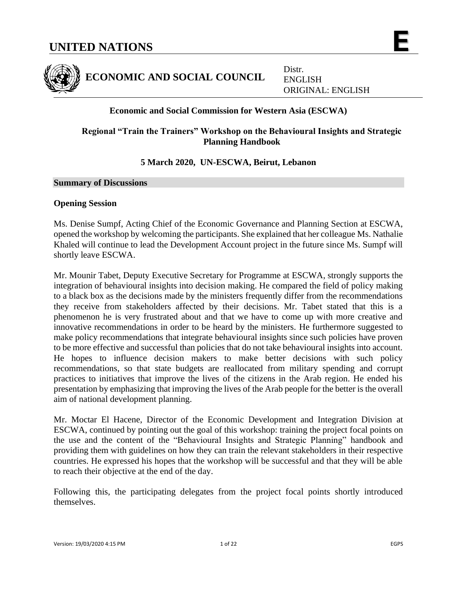

**ECONOMIC AND SOCIAL COUNCIL**

Distr. ENGLISH ORIGINAL: ENGLISH

# **Economic and Social Commission for Western Asia (ESCWA)**

# **Regional "Train the Trainers" Workshop on the Behavioural Insights and Strategic Planning Handbook**

# **5 March 2020, UN-ESCWA, Beirut, Lebanon**

#### **Summary of Discussions**

## **Opening Session**

Ms. Denise Sumpf, Acting Chief of the Economic Governance and Planning Section at ESCWA, opened the workshop by welcoming the participants. She explained that her colleague Ms. Nathalie Khaled will continue to lead the Development Account project in the future since Ms. Sumpf will shortly leave ESCWA.

Mr. Mounir Tabet, Deputy Executive Secretary for Programme at ESCWA, strongly supports the integration of behavioural insights into decision making. He compared the field of policy making to a black box as the decisions made by the ministers frequently differ from the recommendations they receive from stakeholders affected by their decisions. Mr. Tabet stated that this is a phenomenon he is very frustrated about and that we have to come up with more creative and innovative recommendations in order to be heard by the ministers. He furthermore suggested to make policy recommendations that integrate behavioural insights since such policies have proven to be more effective and successful than policies that do not take behavioural insights into account. He hopes to influence decision makers to make better decisions with such policy recommendations, so that state budgets are reallocated from military spending and corrupt practices to initiatives that improve the lives of the citizens in the Arab region. He ended his presentation by emphasizing that improving the lives of the Arab people for the better is the overall aim of national development planning.

Mr. Moctar El Hacene, Director of the Economic Development and Integration Division at ESCWA, continued by pointing out the goal of this workshop: training the project focal points on the use and the content of the "Behavioural Insights and Strategic Planning" handbook and providing them with guidelines on how they can train the relevant stakeholders in their respective countries. He expressed his hopes that the workshop will be successful and that they will be able to reach their objective at the end of the day.

Following this, the participating delegates from the project focal points shortly introduced themselves.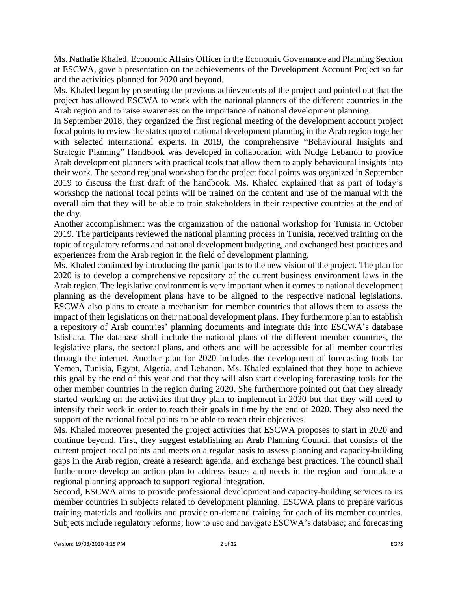Ms. Nathalie Khaled, Economic Affairs Officer in the Economic Governance and Planning Section at ESCWA, gave a presentation on the achievements of the Development Account Project so far and the activities planned for 2020 and beyond.

Ms. Khaled began by presenting the previous achievements of the project and pointed out that the project has allowed ESCWA to work with the national planners of the different countries in the Arab region and to raise awareness on the importance of national development planning.

In September 2018, they organized the first regional meeting of the development account project focal points to review the status quo of national development planning in the Arab region together with selected international experts. In 2019, the comprehensive "Behavioural Insights and Strategic Planning" Handbook was developed in collaboration with Nudge Lebanon to provide Arab development planners with practical tools that allow them to apply behavioural insights into their work. The second regional workshop for the project focal points was organized in September 2019 to discuss the first draft of the handbook. Ms. Khaled explained that as part of today's workshop the national focal points will be trained on the content and use of the manual with the overall aim that they will be able to train stakeholders in their respective countries at the end of the day.

Another accomplishment was the organization of the national workshop for Tunisia in October 2019. The participants reviewed the national planning process in Tunisia, received training on the topic of regulatory reforms and national development budgeting, and exchanged best practices and experiences from the Arab region in the field of development planning.

Ms. Khaled continued by introducing the participants to the new vision of the project. The plan for 2020 is to develop a comprehensive repository of the current business environment laws in the Arab region. The legislative environment is very important when it comes to national development planning as the development plans have to be aligned to the respective national legislations. ESCWA also plans to create a mechanism for member countries that allows them to assess the impact of their legislations on their national development plans. They furthermore plan to establish a repository of Arab countries' planning documents and integrate this into ESCWA's database Istishara. The database shall include the national plans of the different member countries, the legislative plans, the sectoral plans, and others and will be accessible for all member countries through the internet. Another plan for 2020 includes the development of forecasting tools for Yemen, Tunisia, Egypt, Algeria, and Lebanon. Ms. Khaled explained that they hope to achieve this goal by the end of this year and that they will also start developing forecasting tools for the other member countries in the region during 2020. She furthermore pointed out that they already started working on the activities that they plan to implement in 2020 but that they will need to intensify their work in order to reach their goals in time by the end of 2020. They also need the support of the national focal points to be able to reach their objectives.

Ms. Khaled moreover presented the project activities that ESCWA proposes to start in 2020 and continue beyond. First, they suggest establishing an Arab Planning Council that consists of the current project focal points and meets on a regular basis to assess planning and capacity-building gaps in the Arab region, create a research agenda, and exchange best practices. The council shall furthermore develop an action plan to address issues and needs in the region and formulate a regional planning approach to support regional integration.

Second, ESCWA aims to provide professional development and capacity-building services to its member countries in subjects related to development planning. ESCWA plans to prepare various training materials and toolkits and provide on-demand training for each of its member countries. Subjects include regulatory reforms; how to use and navigate ESCWA's database; and forecasting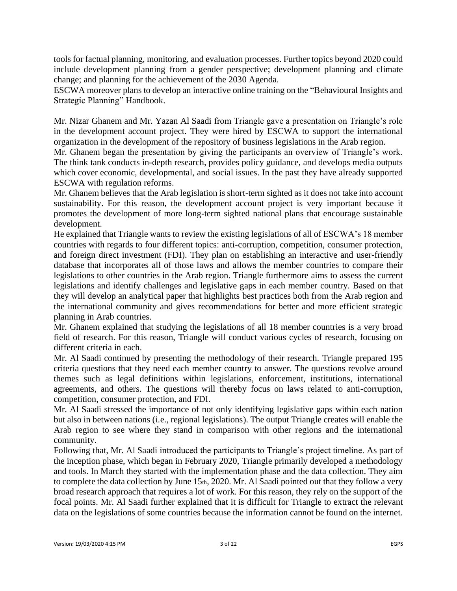tools for factual planning, monitoring, and evaluation processes. Further topics beyond 2020 could include development planning from a gender perspective; development planning and climate change; and planning for the achievement of the 2030 Agenda.

ESCWA moreover plans to develop an interactive online training on the "Behavioural Insights and Strategic Planning" Handbook.

Mr. Nizar Ghanem and Mr. Yazan Al Saadi from Triangle gave a presentation on Triangle's role in the development account project. They were hired by ESCWA to support the international organization in the development of the repository of business legislations in the Arab region.

Mr. Ghanem began the presentation by giving the participants an overview of Triangle's work. The think tank conducts in-depth research, provides policy guidance, and develops media outputs which cover economic, developmental, and social issues. In the past they have already supported ESCWA with regulation reforms.

Mr. Ghanem believes that the Arab legislation is short-term sighted as it does not take into account sustainability. For this reason, the development account project is very important because it promotes the development of more long-term sighted national plans that encourage sustainable development.

He explained that Triangle wants to review the existing legislations of all of ESCWA's 18 member countries with regards to four different topics: anti-corruption, competition, consumer protection, and foreign direct investment (FDI). They plan on establishing an interactive and user-friendly database that incorporates all of those laws and allows the member countries to compare their legislations to other countries in the Arab region. Triangle furthermore aims to assess the current legislations and identify challenges and legislative gaps in each member country. Based on that they will develop an analytical paper that highlights best practices both from the Arab region and the international community and gives recommendations for better and more efficient strategic planning in Arab countries.

Mr. Ghanem explained that studying the legislations of all 18 member countries is a very broad field of research. For this reason, Triangle will conduct various cycles of research, focusing on different criteria in each.

Mr. Al Saadi continued by presenting the methodology of their research. Triangle prepared 195 criteria questions that they need each member country to answer. The questions revolve around themes such as legal definitions within legislations, enforcement, institutions, international agreements, and others. The questions will thereby focus on laws related to anti-corruption, competition, consumer protection, and FDI.

Mr. Al Saadi stressed the importance of not only identifying legislative gaps within each nation but also in between nations (i.e., regional legislations). The output Triangle creates will enable the Arab region to see where they stand in comparison with other regions and the international community.

Following that, Mr. Al Saadi introduced the participants to Triangle's project timeline. As part of the inception phase, which began in February 2020, Triangle primarily developed a methodology and tools. In March they started with the implementation phase and the data collection. They aim to complete the data collection by June 15th, 2020. Mr. Al Saadi pointed out that they follow a very broad research approach that requires a lot of work. For this reason, they rely on the support of the focal points. Mr. Al Saadi further explained that it is difficult for Triangle to extract the relevant data on the legislations of some countries because the information cannot be found on the internet.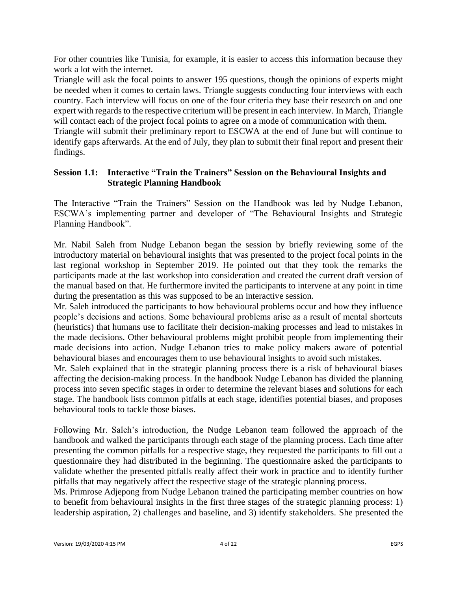For other countries like Tunisia, for example, it is easier to access this information because they work a lot with the internet.

Triangle will ask the focal points to answer 195 questions, though the opinions of experts might be needed when it comes to certain laws. Triangle suggests conducting four interviews with each country. Each interview will focus on one of the four criteria they base their research on and one expert with regards to the respective criterium will be present in each interview. In March, Triangle will contact each of the project focal points to agree on a mode of communication with them. Triangle will submit their preliminary report to ESCWA at the end of June but will continue to identify gaps afterwards. At the end of July, they plan to submit their final report and present their findings.

# **Session 1.1: Interactive "Train the Trainers" Session on the Behavioural Insights and Strategic Planning Handbook**

The Interactive "Train the Trainers" Session on the Handbook was led by Nudge Lebanon, ESCWA's implementing partner and developer of "The Behavioural Insights and Strategic Planning Handbook".

Mr. Nabil Saleh from Nudge Lebanon began the session by briefly reviewing some of the introductory material on behavioural insights that was presented to the project focal points in the last regional workshop in September 2019. He pointed out that they took the remarks the participants made at the last workshop into consideration and created the current draft version of the manual based on that. He furthermore invited the participants to intervene at any point in time during the presentation as this was supposed to be an interactive session.

Mr. Saleh introduced the participants to how behavioural problems occur and how they influence people's decisions and actions. Some behavioural problems arise as a result of mental shortcuts (heuristics) that humans use to facilitate their decision-making processes and lead to mistakes in the made decisions. Other behavioural problems might prohibit people from implementing their made decisions into action. Nudge Lebanon tries to make policy makers aware of potential behavioural biases and encourages them to use behavioural insights to avoid such mistakes.

Mr. Saleh explained that in the strategic planning process there is a risk of behavioural biases affecting the decision-making process. In the handbook Nudge Lebanon has divided the planning process into seven specific stages in order to determine the relevant biases and solutions for each stage. The handbook lists common pitfalls at each stage, identifies potential biases, and proposes behavioural tools to tackle those biases.

Following Mr. Saleh's introduction, the Nudge Lebanon team followed the approach of the handbook and walked the participants through each stage of the planning process. Each time after presenting the common pitfalls for a respective stage, they requested the participants to fill out a questionnaire they had distributed in the beginning. The questionnaire asked the participants to validate whether the presented pitfalls really affect their work in practice and to identify further pitfalls that may negatively affect the respective stage of the strategic planning process.

Ms. Primrose Adjepong from Nudge Lebanon trained the participating member countries on how to benefit from behavioural insights in the first three stages of the strategic planning process: 1) leadership aspiration, 2) challenges and baseline, and 3) identify stakeholders. She presented the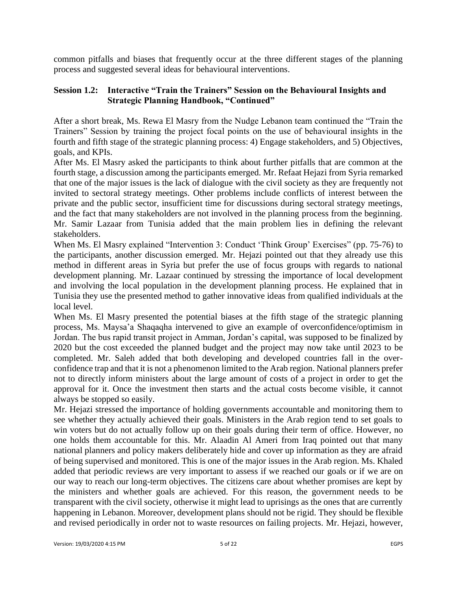common pitfalls and biases that frequently occur at the three different stages of the planning process and suggested several ideas for behavioural interventions.

# **Session 1.2: Interactive "Train the Trainers" Session on the Behavioural Insights and Strategic Planning Handbook, "Continued"**

After a short break, Ms. Rewa El Masry from the Nudge Lebanon team continued the "Train the Trainers" Session by training the project focal points on the use of behavioural insights in the fourth and fifth stage of the strategic planning process: 4) Engage stakeholders, and 5) Objectives, goals, and KPIs.

After Ms. El Masry asked the participants to think about further pitfalls that are common at the fourth stage, a discussion among the participants emerged. Mr. Refaat Hejazi from Syria remarked that one of the major issues is the lack of dialogue with the civil society as they are frequently not invited to sectoral strategy meetings. Other problems include conflicts of interest between the private and the public sector, insufficient time for discussions during sectoral strategy meetings, and the fact that many stakeholders are not involved in the planning process from the beginning. Mr. Samir Lazaar from Tunisia added that the main problem lies in defining the relevant stakeholders.

When Ms. El Masry explained "Intervention 3: Conduct 'Think Group' Exercises" (pp. 75-76) to the participants, another discussion emerged. Mr. Hejazi pointed out that they already use this method in different areas in Syria but prefer the use of focus groups with regards to national development planning. Mr. Lazaar continued by stressing the importance of local development and involving the local population in the development planning process. He explained that in Tunisia they use the presented method to gather innovative ideas from qualified individuals at the local level.

When Ms. El Masry presented the potential biases at the fifth stage of the strategic planning process, Ms. Maysa'a Shaqaqha intervened to give an example of overconfidence/optimism in Jordan. The bus rapid transit project in Amman, Jordan's capital, was supposed to be finalized by 2020 but the cost exceeded the planned budget and the project may now take until 2023 to be completed. Mr. Saleh added that both developing and developed countries fall in the overconfidence trap and that it is not a phenomenon limited to the Arab region. National planners prefer not to directly inform ministers about the large amount of costs of a project in order to get the approval for it. Once the investment then starts and the actual costs become visible, it cannot always be stopped so easily.

Mr. Hejazi stressed the importance of holding governments accountable and monitoring them to see whether they actually achieved their goals. Ministers in the Arab region tend to set goals to win voters but do not actually follow up on their goals during their term of office. However, no one holds them accountable for this. Mr. Alaadin Al Ameri from Iraq pointed out that many national planners and policy makers deliberately hide and cover up information as they are afraid of being supervised and monitored. This is one of the major issues in the Arab region. Ms. Khaled added that periodic reviews are very important to assess if we reached our goals or if we are on our way to reach our long-term objectives. The citizens care about whether promises are kept by the ministers and whether goals are achieved. For this reason, the government needs to be transparent with the civil society, otherwise it might lead to uprisings as the ones that are currently happening in Lebanon. Moreover, development plans should not be rigid. They should be flexible and revised periodically in order not to waste resources on failing projects. Mr. Hejazi, however,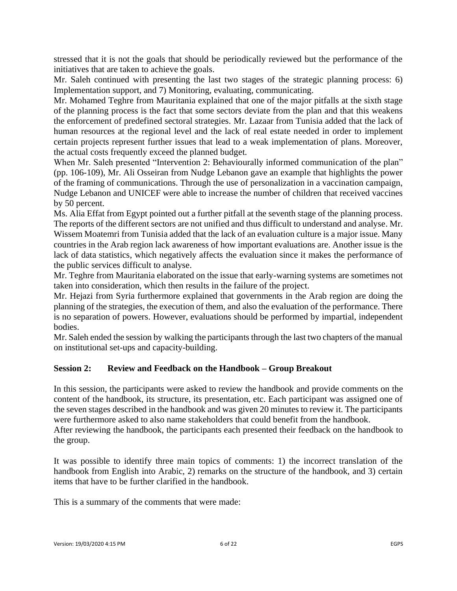stressed that it is not the goals that should be periodically reviewed but the performance of the initiatives that are taken to achieve the goals.

Mr. Saleh continued with presenting the last two stages of the strategic planning process: 6) Implementation support, and 7) Monitoring, evaluating, communicating.

Mr. Mohamed Teghre from Mauritania explained that one of the major pitfalls at the sixth stage of the planning process is the fact that some sectors deviate from the plan and that this weakens the enforcement of predefined sectoral strategies. Mr. Lazaar from Tunisia added that the lack of human resources at the regional level and the lack of real estate needed in order to implement certain projects represent further issues that lead to a weak implementation of plans. Moreover, the actual costs frequently exceed the planned budget.

When Mr. Saleh presented "Intervention 2: Behaviourally informed communication of the plan" (pp. 106-109), Mr. Ali Osseiran from Nudge Lebanon gave an example that highlights the power of the framing of communications. Through the use of personalization in a vaccination campaign, Nudge Lebanon and UNICEF were able to increase the number of children that received vaccines by 50 percent.

Ms. Alia Effat from Egypt pointed out a further pitfall at the seventh stage of the planning process. The reports of the different sectors are not unified and thus difficult to understand and analyse. Mr. Wissem Moatemri from Tunisia added that the lack of an evaluation culture is a major issue. Many countries in the Arab region lack awareness of how important evaluations are. Another issue is the lack of data statistics, which negatively affects the evaluation since it makes the performance of the public services difficult to analyse.

Mr. Teghre from Mauritania elaborated on the issue that early-warning systems are sometimes not taken into consideration, which then results in the failure of the project.

Mr. Hejazi from Syria furthermore explained that governments in the Arab region are doing the planning of the strategies, the execution of them, and also the evaluation of the performance. There is no separation of powers. However, evaluations should be performed by impartial, independent bodies.

Mr. Saleh ended the session by walking the participants through the last two chapters of the manual on institutional set-ups and capacity-building.

# **Session 2: Review and Feedback on the Handbook – Group Breakout**

In this session, the participants were asked to review the handbook and provide comments on the content of the handbook, its structure, its presentation, etc. Each participant was assigned one of the seven stages described in the handbook and was given 20 minutes to review it. The participants were furthermore asked to also name stakeholders that could benefit from the handbook.

After reviewing the handbook, the participants each presented their feedback on the handbook to the group.

It was possible to identify three main topics of comments: 1) the incorrect translation of the handbook from English into Arabic, 2) remarks on the structure of the handbook, and 3) certain items that have to be further clarified in the handbook.

This is a summary of the comments that were made: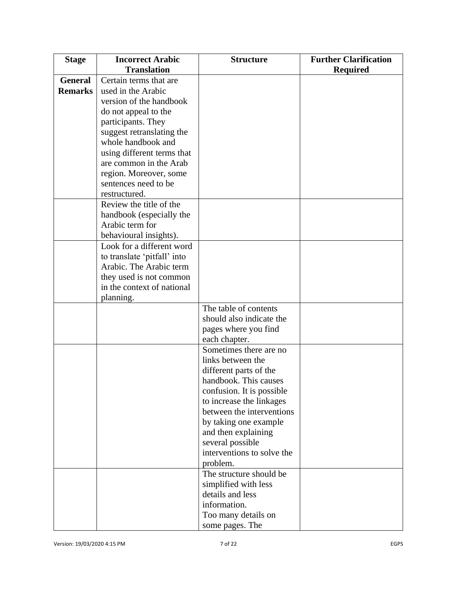| <b>Stage</b>   | <b>Incorrect Arabic</b>                     | <b>Structure</b>                         | <b>Further Clarification</b> |
|----------------|---------------------------------------------|------------------------------------------|------------------------------|
|                | <b>Translation</b>                          |                                          | <b>Required</b>              |
| <b>General</b> | Certain terms that are                      |                                          |                              |
| <b>Remarks</b> | used in the Arabic                          |                                          |                              |
|                | version of the handbook                     |                                          |                              |
|                | do not appeal to the                        |                                          |                              |
|                | participants. They                          |                                          |                              |
|                | suggest retranslating the                   |                                          |                              |
|                | whole handbook and                          |                                          |                              |
|                | using different terms that                  |                                          |                              |
|                | are common in the Arab                      |                                          |                              |
|                | region. Moreover, some                      |                                          |                              |
|                | sentences need to be                        |                                          |                              |
|                | restructured.<br>Review the title of the    |                                          |                              |
|                |                                             |                                          |                              |
|                | handbook (especially the<br>Arabic term for |                                          |                              |
|                | behavioural insights).                      |                                          |                              |
|                | Look for a different word                   |                                          |                              |
|                | to translate 'pitfall' into                 |                                          |                              |
|                | Arabic. The Arabic term                     |                                          |                              |
|                | they used is not common                     |                                          |                              |
|                | in the context of national                  |                                          |                              |
|                | planning.                                   |                                          |                              |
|                |                                             | The table of contents                    |                              |
|                |                                             | should also indicate the                 |                              |
|                |                                             | pages where you find                     |                              |
|                |                                             | each chapter.                            |                              |
|                |                                             | Sometimes there are no                   |                              |
|                |                                             | links between the                        |                              |
|                |                                             | different parts of the                   |                              |
|                |                                             | handbook. This causes                    |                              |
|                |                                             | confusion. It is possible                |                              |
|                |                                             | to increase the linkages                 |                              |
|                |                                             | between the interventions                |                              |
|                |                                             | by taking one example                    |                              |
|                |                                             | and then explaining                      |                              |
|                |                                             | several possible                         |                              |
|                |                                             | interventions to solve the               |                              |
|                |                                             | problem.<br>The structure should be      |                              |
|                |                                             |                                          |                              |
|                |                                             | simplified with less<br>details and less |                              |
|                |                                             | information.                             |                              |
|                |                                             | Too many details on                      |                              |
|                |                                             | some pages. The                          |                              |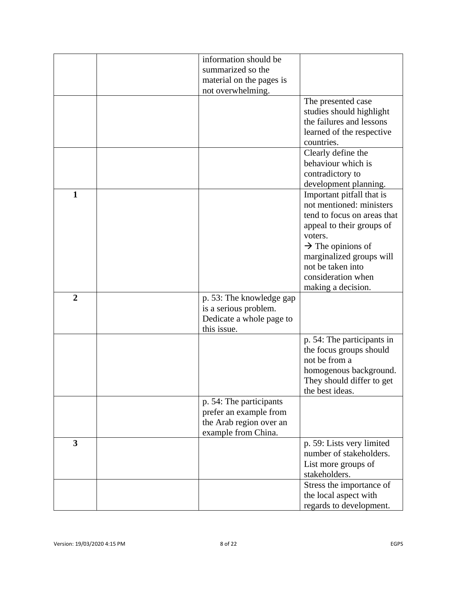|                | information should be    |                                                       |
|----------------|--------------------------|-------------------------------------------------------|
|                | summarized so the        |                                                       |
|                | material on the pages is |                                                       |
|                | not overwhelming.        |                                                       |
|                |                          | The presented case                                    |
|                |                          | studies should highlight                              |
|                |                          | the failures and lessons                              |
|                |                          | learned of the respective                             |
|                |                          | countries.                                            |
|                |                          | Clearly define the                                    |
|                |                          | behaviour which is                                    |
|                |                          | contradictory to                                      |
|                |                          | development planning.                                 |
| $\mathbf{1}$   |                          | Important pitfall that is                             |
|                |                          | not mentioned: ministers                              |
|                |                          | tend to focus on areas that                           |
|                |                          | appeal to their groups of                             |
|                |                          | voters.                                               |
|                |                          | $\rightarrow$ The opinions of                         |
|                |                          | marginalized groups will                              |
|                |                          | not be taken into                                     |
|                |                          | consideration when                                    |
|                |                          | making a decision.                                    |
| $\overline{2}$ | p. 53: The knowledge gap |                                                       |
|                | is a serious problem.    |                                                       |
|                | Dedicate a whole page to |                                                       |
|                | this issue.              |                                                       |
|                |                          | p. 54: The participants in<br>the focus groups should |
|                |                          | not be from a                                         |
|                |                          | homogenous background.                                |
|                |                          | They should differ to get                             |
|                |                          | the best ideas.                                       |
|                | p. 54: The participants  |                                                       |
|                | prefer an example from   |                                                       |
|                | the Arab region over an  |                                                       |
|                | example from China.      |                                                       |
| 3              |                          | p. 59: Lists very limited                             |
|                |                          | number of stakeholders.                               |
|                |                          | List more groups of                                   |
|                |                          | stakeholders.                                         |
|                |                          | Stress the importance of                              |
|                |                          | the local aspect with                                 |
|                |                          | regards to development.                               |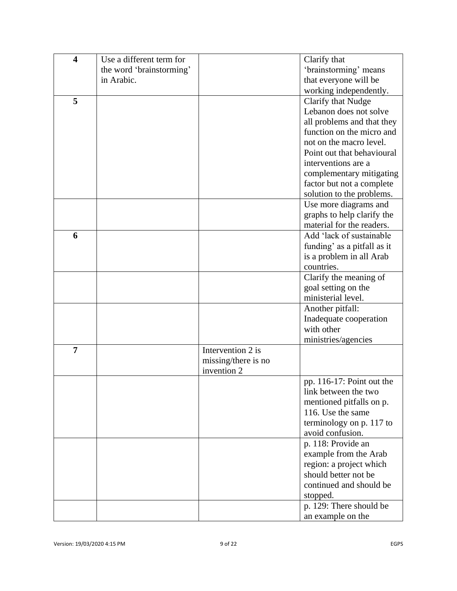| $\overline{\mathbf{4}}$ | Use a different term for |                                    | Clarify that                |
|-------------------------|--------------------------|------------------------------------|-----------------------------|
|                         | the word 'brainstorming' |                                    | 'brainstorming' means       |
|                         | in Arabic.               |                                    | that everyone will be       |
|                         |                          |                                    | working independently.      |
| 5                       |                          |                                    | Clarify that Nudge          |
|                         |                          |                                    | Lebanon does not solve      |
|                         |                          |                                    | all problems and that they  |
|                         |                          |                                    | function on the micro and   |
|                         |                          |                                    | not on the macro level.     |
|                         |                          |                                    | Point out that behavioural  |
|                         |                          |                                    | interventions are a         |
|                         |                          |                                    | complementary mitigating    |
|                         |                          |                                    | factor but not a complete   |
|                         |                          |                                    | solution to the problems.   |
|                         |                          |                                    | Use more diagrams and       |
|                         |                          |                                    | graphs to help clarify the  |
|                         |                          |                                    | material for the readers.   |
| 6                       |                          |                                    | Add 'lack of sustainable    |
|                         |                          |                                    | funding' as a pitfall as it |
|                         |                          |                                    | is a problem in all Arab    |
|                         |                          |                                    | countries.                  |
|                         |                          |                                    | Clarify the meaning of      |
|                         |                          |                                    | goal setting on the         |
|                         |                          |                                    | ministerial level.          |
|                         |                          |                                    | Another pitfall:            |
|                         |                          |                                    | Inadequate cooperation      |
|                         |                          |                                    | with other                  |
|                         |                          |                                    | ministries/agencies         |
| 7                       |                          | Intervention 2 is                  |                             |
|                         |                          | missing/there is no<br>invention 2 |                             |
|                         |                          |                                    | pp. 116-17: Point out the   |
|                         |                          |                                    | link between the two        |
|                         |                          |                                    | mentioned pitfalls on p.    |
|                         |                          |                                    | 116. Use the same           |
|                         |                          |                                    | terminology on p. 117 to    |
|                         |                          |                                    | avoid confusion.            |
|                         |                          |                                    | p. 118: Provide an          |
|                         |                          |                                    | example from the Arab       |
|                         |                          |                                    | region: a project which     |
|                         |                          |                                    | should better not be        |
|                         |                          |                                    | continued and should be     |
|                         |                          |                                    | stopped.                    |
|                         |                          |                                    | p. 129: There should be     |
|                         |                          |                                    | an example on the           |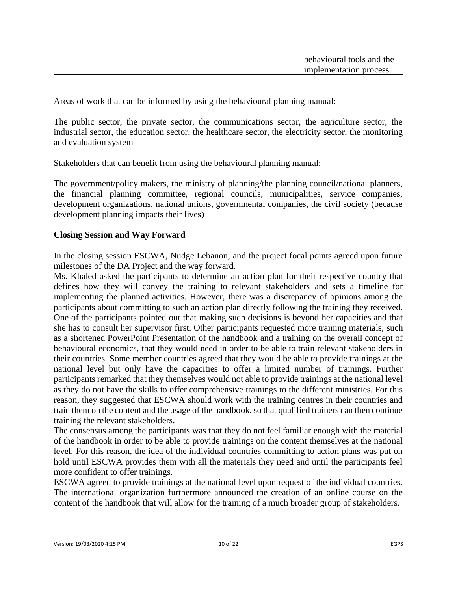|  | behavioural tools and the |
|--|---------------------------|
|  | implementation process.   |

## Areas of work that can be informed by using the behavioural planning manual:

The public sector, the private sector, the communications sector, the agriculture sector, the industrial sector, the education sector, the healthcare sector, the electricity sector, the monitoring and evaluation system

#### Stakeholders that can benefit from using the behavioural planning manual:

The government/policy makers, the ministry of planning/the planning council/national planners, the financial planning committee, regional councils, municipalities, service companies, development organizations, national unions, governmental companies, the civil society (because development planning impacts their lives)

#### **Closing Session and Way Forward**

In the closing session ESCWA, Nudge Lebanon, and the project focal points agreed upon future milestones of the DA Project and the way forward.

Ms. Khaled asked the participants to determine an action plan for their respective country that defines how they will convey the training to relevant stakeholders and sets a timeline for implementing the planned activities. However, there was a discrepancy of opinions among the participants about committing to such an action plan directly following the training they received. One of the participants pointed out that making such decisions is beyond her capacities and that she has to consult her supervisor first. Other participants requested more training materials, such as a shortened PowerPoint Presentation of the handbook and a training on the overall concept of behavioural economics, that they would need in order to be able to train relevant stakeholders in their countries. Some member countries agreed that they would be able to provide trainings at the national level but only have the capacities to offer a limited number of trainings. Further participants remarked that they themselves would not able to provide trainings at the national level as they do not have the skills to offer comprehensive trainings to the different ministries. For this reason, they suggested that ESCWA should work with the training centres in their countries and train them on the content and the usage of the handbook, so that qualified trainers can then continue training the relevant stakeholders.

The consensus among the participants was that they do not feel familiar enough with the material of the handbook in order to be able to provide trainings on the content themselves at the national level. For this reason, the idea of the individual countries committing to action plans was put on hold until ESCWA provides them with all the materials they need and until the participants feel more confident to offer trainings.

ESCWA agreed to provide trainings at the national level upon request of the individual countries. The international organization furthermore announced the creation of an online course on the content of the handbook that will allow for the training of a much broader group of stakeholders.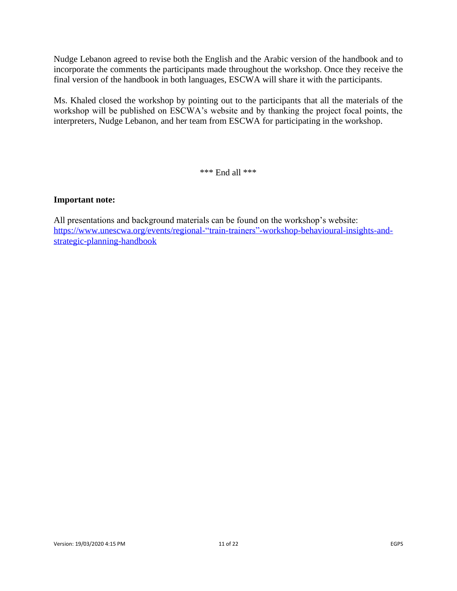Nudge Lebanon agreed to revise both the English and the Arabic version of the handbook and to incorporate the comments the participants made throughout the workshop. Once they receive the final version of the handbook in both languages, ESCWA will share it with the participants.

Ms. Khaled closed the workshop by pointing out to the participants that all the materials of the workshop will be published on ESCWA's website and by thanking the project focal points, the interpreters, Nudge Lebanon, and her team from ESCWA for participating in the workshop.

\*\*\* End all \*\*\*

## **Important note:**

All presentations and background materials can be found on the workshop's website: [https://www.unescwa.org/events/regional-"train-trainers"-workshop-behavioural-insights-and](https://www.unescwa.org/events/regional-)[strategic-planning-handbook](https://www.unescwa.org/events/regional-)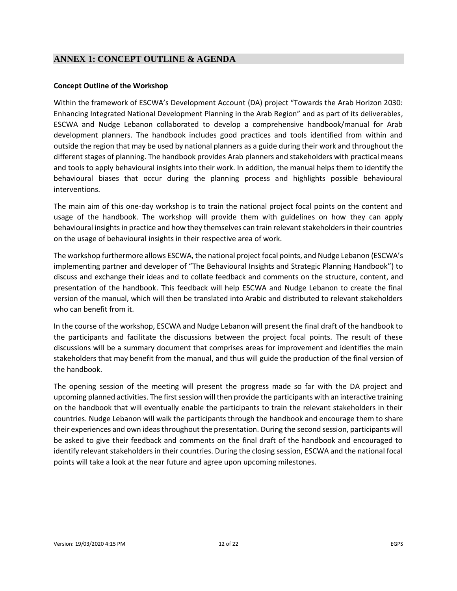# **ANNEX 1: CONCEPT OUTLINE & AGENDA**

#### **Concept Outline of the Workshop**

Within the framework of ESCWA's Development Account (DA) project "Towards the Arab Horizon 2030: Enhancing Integrated National Development Planning in the Arab Region" and as part of its deliverables, ESCWA and Nudge Lebanon collaborated to develop a comprehensive handbook/manual for Arab development planners. The handbook includes good practices and tools identified from within and outside the region that may be used by national planners as a guide during their work and throughout the different stages of planning. The handbook provides Arab planners and stakeholders with practical means and tools to apply behavioural insights into their work. In addition, the manual helps them to identify the behavioural biases that occur during the planning process and highlights possible behavioural interventions.

The main aim of this one-day workshop is to train the national project focal points on the content and usage of the handbook. The workshop will provide them with guidelines on how they can apply behavioural insights in practice and how they themselves can train relevant stakeholders in their countries on the usage of behavioural insights in their respective area of work.

The workshop furthermore allows ESCWA, the national project focal points, and Nudge Lebanon (ESCWA's implementing partner and developer of "The Behavioural Insights and Strategic Planning Handbook") to discuss and exchange their ideas and to collate feedback and comments on the structure, content, and presentation of the handbook. This feedback will help ESCWA and Nudge Lebanon to create the final version of the manual, which will then be translated into Arabic and distributed to relevant stakeholders who can benefit from it.

In the course of the workshop, ESCWA and Nudge Lebanon will present the final draft of the handbook to the participants and facilitate the discussions between the project focal points. The result of these discussions will be a summary document that comprises areas for improvement and identifies the main stakeholders that may benefit from the manual, and thus will guide the production of the final version of the handbook.

The opening session of the meeting will present the progress made so far with the DA project and upcoming planned activities. The first session will then provide the participants with an interactive training on the handbook that will eventually enable the participants to train the relevant stakeholders in their countries. Nudge Lebanon will walk the participants through the handbook and encourage them to share their experiences and own ideas throughout the presentation. During the second session, participants will be asked to give their feedback and comments on the final draft of the handbook and encouraged to identify relevant stakeholders in their countries. During the closing session, ESCWA and the national focal points will take a look at the near future and agree upon upcoming milestones.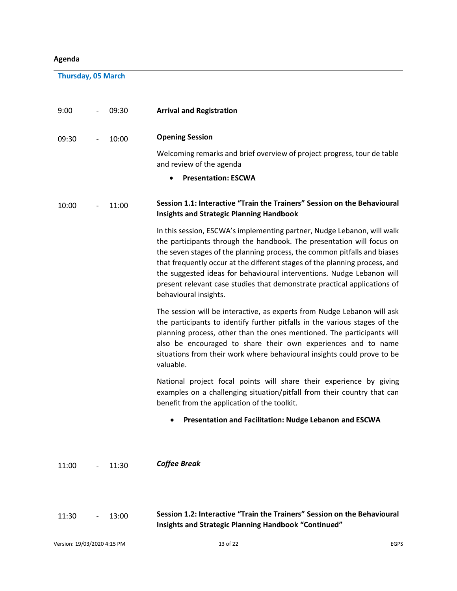# **Agenda**

**Thursday, 05 March**

| 9:00                        | 09:30 | <b>Arrival and Registration</b>                                                                                                                                                                                                                                                                                                                                                                                                                                                          |             |
|-----------------------------|-------|------------------------------------------------------------------------------------------------------------------------------------------------------------------------------------------------------------------------------------------------------------------------------------------------------------------------------------------------------------------------------------------------------------------------------------------------------------------------------------------|-------------|
| 09:30                       | 10:00 | <b>Opening Session</b>                                                                                                                                                                                                                                                                                                                                                                                                                                                                   |             |
|                             |       | Welcoming remarks and brief overview of project progress, tour de table<br>and review of the agenda                                                                                                                                                                                                                                                                                                                                                                                      |             |
|                             |       | <b>Presentation: ESCWA</b>                                                                                                                                                                                                                                                                                                                                                                                                                                                               |             |
| 10:00                       | 11:00 | Session 1.1: Interactive "Train the Trainers" Session on the Behavioural<br><b>Insights and Strategic Planning Handbook</b>                                                                                                                                                                                                                                                                                                                                                              |             |
|                             |       | In this session, ESCWA's implementing partner, Nudge Lebanon, will walk<br>the participants through the handbook. The presentation will focus on<br>the seven stages of the planning process, the common pitfalls and biases<br>that frequently occur at the different stages of the planning process, and<br>the suggested ideas for behavioural interventions. Nudge Lebanon will<br>present relevant case studies that demonstrate practical applications of<br>behavioural insights. |             |
|                             |       | The session will be interactive, as experts from Nudge Lebanon will ask<br>the participants to identify further pitfalls in the various stages of the<br>planning process, other than the ones mentioned. The participants will<br>also be encouraged to share their own experiences and to name<br>situations from their work where behavioural insights could prove to be<br>valuable.                                                                                                 |             |
|                             |       | National project focal points will share their experience by giving<br>examples on a challenging situation/pitfall from their country that can<br>benefit from the application of the toolkit.                                                                                                                                                                                                                                                                                           |             |
|                             |       | Presentation and Facilitation: Nudge Lebanon and ESCWA                                                                                                                                                                                                                                                                                                                                                                                                                                   |             |
| 11:00                       | 11:30 | <b>Coffee Break</b>                                                                                                                                                                                                                                                                                                                                                                                                                                                                      |             |
| 11:30                       | 13:00 | Session 1.2: Interactive "Train the Trainers" Session on the Behavioural<br>Insights and Strategic Planning Handbook "Continued"                                                                                                                                                                                                                                                                                                                                                         |             |
| Version: 19/03/2020 4:15 PM |       | 13 of 22                                                                                                                                                                                                                                                                                                                                                                                                                                                                                 | <b>EGPS</b> |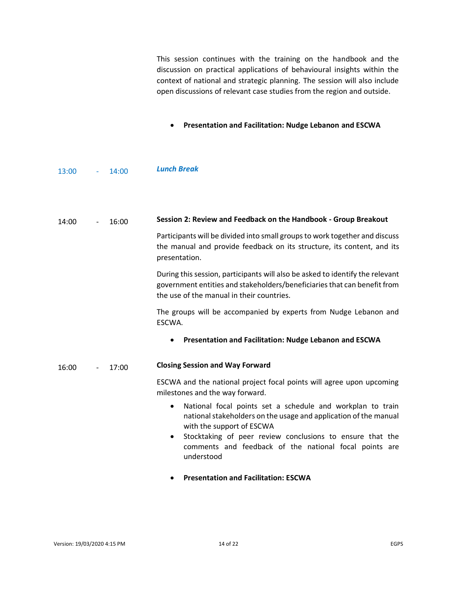This session continues with the training on the handbook and the discussion on practical applications of behavioural insights within the context of national and strategic planning. The session will also include open discussions of relevant case studies from the region and outside.

- **Presentation and Facilitation: Nudge Lebanon and ESCWA**
- 13:00 *-* 14:00 *Lunch Break*

| 14:00 | $\overline{\phantom{a}}$ | 16:00 | Session 2: Review and Feedback on the Handbook - Group Breakout                                                                                                                                                                                                                                               |
|-------|--------------------------|-------|---------------------------------------------------------------------------------------------------------------------------------------------------------------------------------------------------------------------------------------------------------------------------------------------------------------|
|       |                          |       | Participants will be divided into small groups to work together and discuss<br>the manual and provide feedback on its structure, its content, and its<br>presentation.                                                                                                                                        |
|       |                          |       | During this session, participants will also be asked to identify the relevant<br>government entities and stakeholders/beneficiaries that can benefit from<br>the use of the manual in their countries.                                                                                                        |
|       |                          |       | The groups will be accompanied by experts from Nudge Lebanon and<br>ESCWA.                                                                                                                                                                                                                                    |
|       |                          |       | Presentation and Facilitation: Nudge Lebanon and ESCWA                                                                                                                                                                                                                                                        |
|       |                          |       |                                                                                                                                                                                                                                                                                                               |
| 16:00 |                          | 17:00 | <b>Closing Session and Way Forward</b>                                                                                                                                                                                                                                                                        |
|       |                          |       | ESCWA and the national project focal points will agree upon upcoming<br>milestones and the way forward.                                                                                                                                                                                                       |
|       |                          |       | National focal points set a schedule and workplan to train<br>$\bullet$<br>national stakeholders on the usage and application of the manual<br>with the support of ESCWA<br>Stocktaking of peer review conclusions to ensure that the<br>comments and feedback of the national focal points are<br>understood |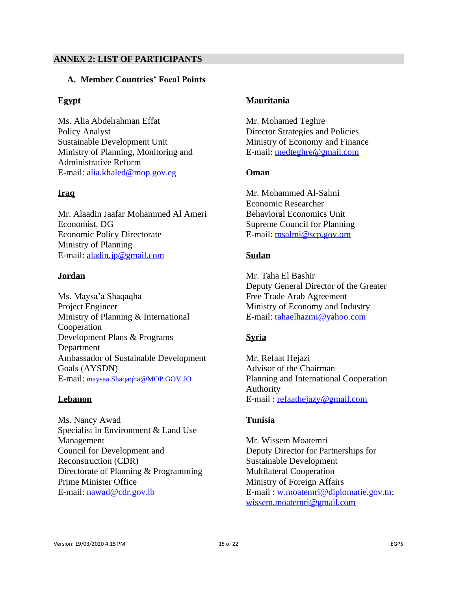## **ANNEX 2: LIST OF PARTICIPANTS**

#### **A. Member Countries' Focal Points**

## **Egypt**

Ms. Alia Abdelrahman Effat Policy Analyst Sustainable Development Unit Ministry of Planning, Monitoring and Administrative Reform E-mail: [alia.khaled@mop.gov.eg](mailto:alia.khaled@mop.gov.eg)

#### **Iraq**

Mr. Alaadin Jaafar Mohammed Al Ameri Economist, DG Economic Policy Directorate Ministry of Planning E-mail: [aladin.jp@gmail.com](mailto:aladin.jp@gmail.com)

#### **Jordan**

Ms. Maysa'a Shaqaqha Project Engineer Ministry of Planning & International Cooperation Development Plans & Programs Department Ambassador of Sustainable Development Goals (AYSDN) E-mail: [maysaa.Shaqaqha@MOP.GOV.JO](mailto:maysaa.Shaqaqha@MOP.GOV.JO)

#### **Lebanon**

Ms. Nancy Awad Specialist in Environment & Land Use Management Council for Development and Reconstruction (CDR) Directorate of Planning & Programming Prime Minister Office E-mail: [nawad@cdr.gov.lb](mailto:nawad@cdr.gov.lb)

# **Mauritania**

Mr. Mohamed Teghre Director Strategies and Policies Ministry of Economy and Finance E-mail: [medteghre@gmail.com](mailto:medteghre@gmail.com)

## **Oman**

Mr. Mohammed Al-Salmi Economic Researcher Behavioral Economics Unit Supreme Council for Planning E-mail: [msalmi@scp.gov.om](mailto:msalmi@scp.gov.om)

## **Sudan**

Mr. Taha El Bashir Deputy General Director of the Greater Free Trade Arab Agreement Ministry of Economy and Industry E-mail: [tahaelhazmi@yahoo.com](mailto:tahaelhazmi@yahoo.com)

# **Syria**

Mr. Refaat Hejazi Advisor of the Chairman Planning and International Cooperation Authority E-mail : [refaathejazy@gmail.com](mailto:refaathejazy@gmail.com)

#### **Tunisia**

Mr. Wissem Moatemri Deputy Director for Partnerships for Sustainable Development Multilateral Cooperation Ministry of Foreign Affairs E-mail : [w.moatemri@diplomatie.gov.tn;](mailto:w.moatemri@diplomatie.gov.tn) [wissem.moatemri@gmail.com](mailto:wissem.moatemri@gmail.com)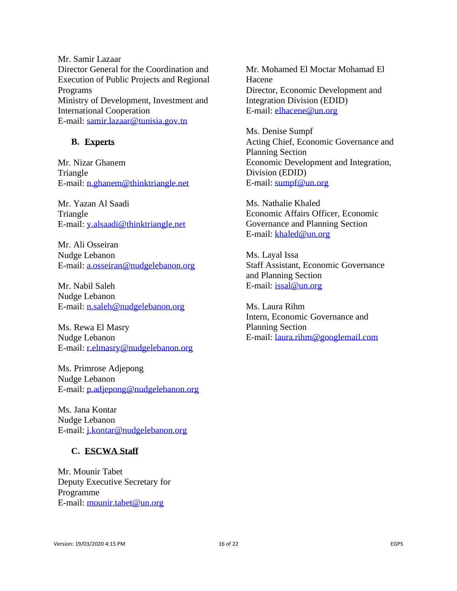Mr. Samir Lazaar Director General for the Coordination and Execution of Public Projects and Regional Programs Ministry of Development, Investment and International Cooperation E-mail: [samir.lazaar@tunisia.gov.tn](mailto:samir.lazaar@tunisia.gov.tn)

#### **B. Experts**

Mr. Nizar Ghanem Triangle E-mail: [n.ghanem@thinktriangle.net](mailto:n.ghanem@thinktriangle.net)

Mr. Yazan Al Saadi Triangle E-mail: [y.alsaadi@thinktriangle.net](mailto:y.alsaadi@thinktriangle.net)

Mr. Ali Osseiran Nudge Lebanon E-mail: [a.osseiran@nudgelebanon.org](mailto:a.osseiran@nudgelebanon.org)

Mr. Nabil Saleh Nudge Lebanon E-mail: [n.saleh@nudgelebanon.org](mailto:n.saleh@nudgelebanon.org)

Ms. Rewa El Masry Nudge Lebanon E-mail: [r.elmasry@nudgelebanon.org](mailto:r.elmasry@nudgelebanon.org)

Ms. Primrose Adjepong Nudge Lebanon E-mail: [p.adjepong@nudgelebanon.org](mailto:p.adjepong@nudgelebanon.org)

Ms. Jana Kontar Nudge Lebanon E-mail: [j.kontar@nudgelebanon.org](mailto:j.kontar@nudgelebanon.org)

#### **C. ESCWA Staff**

Mr. Mounir Tabet Deputy Executive Secretary for Programme E-mail: [mounir.tabet@un.org](mailto:mounir.tabet@un.org)

Mr. Mohamed El Moctar Mohamad El Hacene Director, Economic Development and Integration Division (EDID) E-mail: [elhacene@un.org](mailto:elhacene@un.org)

Ms. Denise Sumpf Acting Chief, Economic Governance and Planning Section Economic Development and Integration, Division (EDID) E-mail: [sumpf@un.org](mailto:sumpf@un.org)

Ms. Nathalie Khaled Economic Affairs Officer, Economic Governance and Planning Section E-mail: [khaled@un.org](mailto:khaled@un.org)

Ms. Layal Issa Staff Assistant, Economic Governance and Planning Section E-mail: [issal@un.org](mailto:issal@un.org)

Ms. Laura Rihm Intern, Economic Governance and Planning Section E-mail: [laura.rihm@googlemail.com](mailto:laura.rihm@googlemail.com)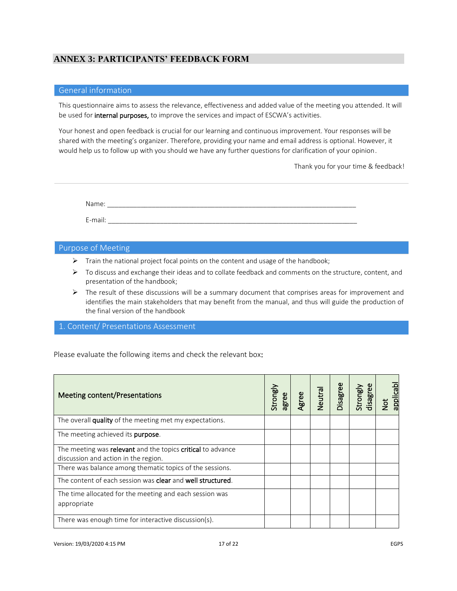# **ANNEX 3: PARTICIPANTS' FEEDBACK FORM**

#### General information

This questionnaire aims to assess the relevance, effectiveness and added value of the meeting you attended. It will be used for internal purposes, to improve the services and impact of ESCWA's activities.

Your honest and open feedback is crucial for our learning and continuous improvement. Your responses will be shared with the meeting's organizer. Therefore, providing your name and email address is optional. However, it would help us to follow up with you should we have any further questions for clarification of your opinion.

Thank you for your time & feedback!

Name: \_\_\_\_\_\_\_\_\_\_\_\_\_\_\_\_\_\_\_\_\_\_\_\_\_\_\_\_\_\_\_\_\_\_\_\_\_\_\_\_\_\_\_\_\_\_\_\_\_\_\_\_\_\_\_\_\_\_\_\_\_\_\_\_\_\_\_ E-mail:  $\blacksquare$ 

#### Purpose of Meeting

- ➢ Train the national project focal points on the content and usage of the handbook;
- $\triangleright$  To discuss and exchange their ideas and to collate feedback and comments on the structure, content, and presentation of the handbook;
- $\triangleright$  The result of these discussions will be a summary document that comprises areas for improvement and identifies the main stakeholders that may benefit from the manual, and thus will guide the production of the final version of the handbook

#### 1. Content/ Presentations Assessment

Please evaluate the following items and check the relevant box:

| <b>Meeting content/Presentations</b>                                                                | Strongly<br>agree | gree | Neutral<br>Neutral | Disagree | Strongly<br>disagree | <b>applicabl</b><br><b>b</b> |
|-----------------------------------------------------------------------------------------------------|-------------------|------|--------------------|----------|----------------------|------------------------------|
| The overall quality of the meeting met my expectations.                                             |                   |      |                    |          |                      |                              |
| The meeting achieved its purpose.                                                                   |                   |      |                    |          |                      |                              |
| The meeting was relevant and the topics critical to advance<br>discussion and action in the region. |                   |      |                    |          |                      |                              |
| There was balance among thematic topics of the sessions.                                            |                   |      |                    |          |                      |                              |
| The content of each session was clear and well structured.                                          |                   |      |                    |          |                      |                              |
| The time allocated for the meeting and each session was<br>appropriate                              |                   |      |                    |          |                      |                              |
| There was enough time for interactive discussion(s).                                                |                   |      |                    |          |                      |                              |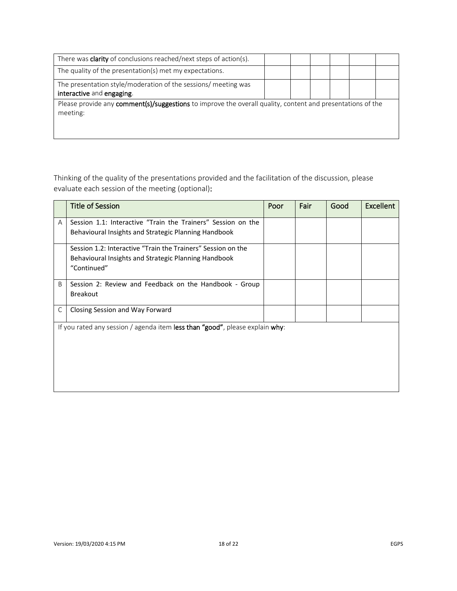| There was <b>clarity</b> of conclusions reached/next steps of action(s).                                   |  |  |  |  |  |  |  |
|------------------------------------------------------------------------------------------------------------|--|--|--|--|--|--|--|
| The quality of the presentation(s) met my expectations.                                                    |  |  |  |  |  |  |  |
| The presentation style/moderation of the sessions/ meeting was                                             |  |  |  |  |  |  |  |
| interactive and engaging.                                                                                  |  |  |  |  |  |  |  |
| Please provide any comment(s)/suggestions to improve the overall quality, content and presentations of the |  |  |  |  |  |  |  |
| meeting:                                                                                                   |  |  |  |  |  |  |  |
|                                                                                                            |  |  |  |  |  |  |  |
|                                                                                                            |  |  |  |  |  |  |  |

Thinking of the quality of the presentations provided and the facilitation of the discussion, please evaluate each session of the meeting (optional):

|   | <b>Title of Session</b>                                                      | Poor | Fair | Good | <b>Excellent</b> |
|---|------------------------------------------------------------------------------|------|------|------|------------------|
| A | Session 1.1: Interactive "Train the Trainers" Session on the                 |      |      |      |                  |
|   | Behavioural Insights and Strategic Planning Handbook                         |      |      |      |                  |
|   | Session 1.2: Interactive "Train the Trainers" Session on the                 |      |      |      |                  |
|   | Behavioural Insights and Strategic Planning Handbook                         |      |      |      |                  |
|   | "Continued"                                                                  |      |      |      |                  |
| B | Session 2: Review and Feedback on the Handbook - Group                       |      |      |      |                  |
|   | <b>Breakout</b>                                                              |      |      |      |                  |
| C | Closing Session and Way Forward                                              |      |      |      |                  |
|   | If you rated any session / agenda item less than "good", please explain why: |      |      |      |                  |
|   |                                                                              |      |      |      |                  |
|   |                                                                              |      |      |      |                  |
|   |                                                                              |      |      |      |                  |
|   |                                                                              |      |      |      |                  |
|   |                                                                              |      |      |      |                  |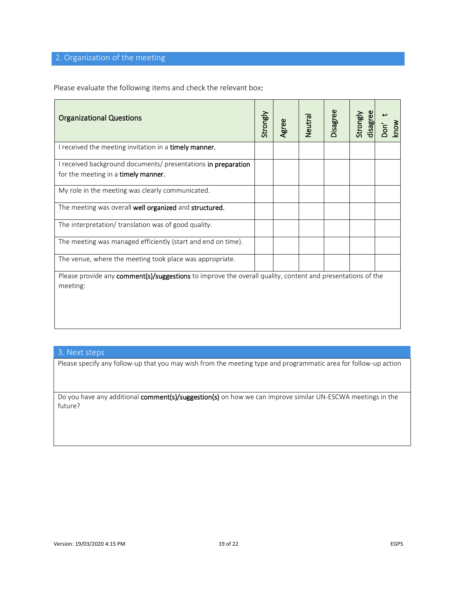# 2. Organization of the meeting

Please evaluate the following items and check the relevant box:

| <b>Organizational Questions</b>                                                                            | Strongly | Agree | Neutral | Disagree | Strongly<br>disagree | know<br>ρο.<br>Σ |
|------------------------------------------------------------------------------------------------------------|----------|-------|---------|----------|----------------------|------------------|
| I received the meeting invitation in a timely manner.                                                      |          |       |         |          |                      |                  |
| I received background documents/ presentations in preparation                                              |          |       |         |          |                      |                  |
| for the meeting in a timely manner.                                                                        |          |       |         |          |                      |                  |
| My role in the meeting was clearly communicated.                                                           |          |       |         |          |                      |                  |
| The meeting was overall well organized and structured.                                                     |          |       |         |          |                      |                  |
| The interpretation/ translation was of good quality.                                                       |          |       |         |          |                      |                  |
| The meeting was managed efficiently (start and end on time).                                               |          |       |         |          |                      |                  |
| The venue, where the meeting took place was appropriate.                                                   |          |       |         |          |                      |                  |
| Please provide any comment(s)/suggestions to improve the overall quality, content and presentations of the |          |       |         |          |                      |                  |
| meeting:                                                                                                   |          |       |         |          |                      |                  |
|                                                                                                            |          |       |         |          |                      |                  |
|                                                                                                            |          |       |         |          |                      |                  |
|                                                                                                            |          |       |         |          |                      |                  |

#### 3. Next steps

Please specify any follow-up that you may wish from the meeting type and programmatic area for follow-up action

Do you have any additional comment(s)/suggestion(s) on how we can improve similar UN-ESCWA meetings in the future?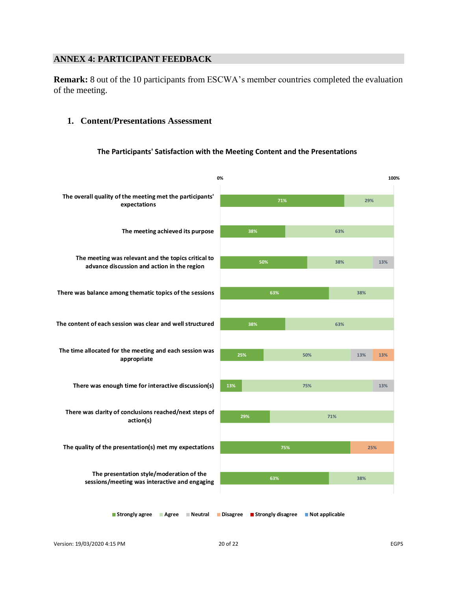# **ANNEX 4: PARTICIPANT FEEDBACK**

**Remark:** 8 out of the 10 participants from ESCWA's member countries completed the evaluation of the meeting.

#### **1. Content/Presentations Assessment**

#### **The Participants' Satisfaction with the Meeting Content and the Presentations**



Version: 19/03/2020 4:15 PM 20 of 22 EGPS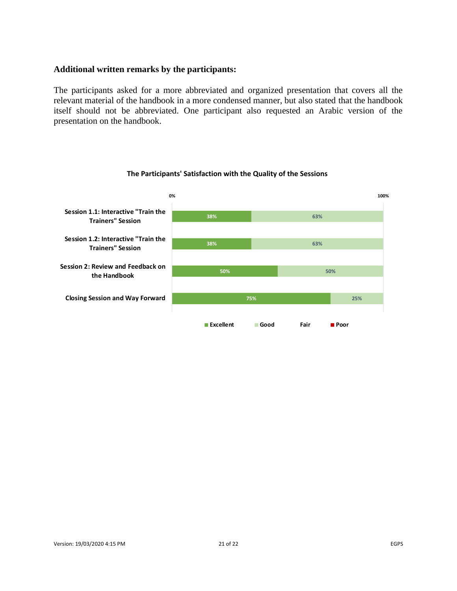#### **Additional written remarks by the participants:**

The participants asked for a more abbreviated and organized presentation that covers all the relevant material of the handbook in a more condensed manner, but also stated that the handbook itself should not be abbreviated. One participant also requested an Arabic version of the presentation on the handbook.



#### **The Participants' Satisfaction with the Quality of the Sessions**